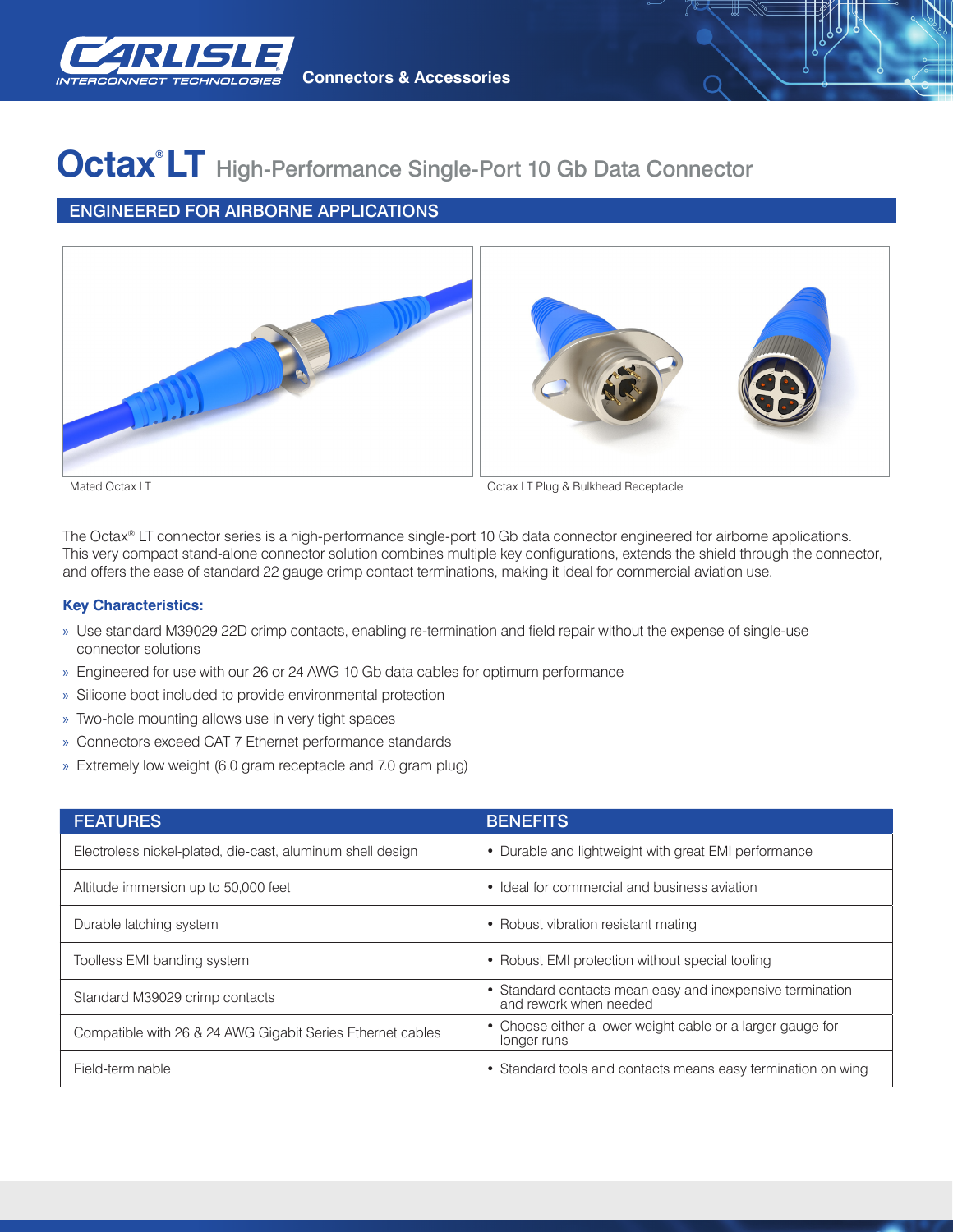

**Connectors & Accessories**

## **Octax® LT** High-Performance Single-Port 10 Gb Data Connector

## ENGINEERED FOR AIRBORNE APPLICATIONS



Mated Octax LT **Material Contact Contact Contact Contact Contact Contact Contact Contact Contact Contact Contact Contact Contact Contact Contact Contact Contact Contact Contact Contact Contact Contact Contact Contact Conta** 

The Octax® LT connector series is a high-performance single-port 10 Gb data connector engineered for airborne applications. This very compact stand-alone connector solution combines multiple key configurations, extends the shield through the connector, and offers the ease of standard 22 gauge crimp contact terminations, making it ideal for commercial aviation use.

#### **Key Characteristics:**

- » Use standard M39029 22D crimp contacts, enabling re-termination and field repair without the expense of single-use connector solutions
- » Engineered for use with our 26 or 24 AWG 10 Gb data cables for optimum performance
- » Silicone boot included to provide environmental protection
- » Two-hole mounting allows use in very tight spaces
- » Connectors exceed CAT 7 Ethernet performance standards
- » Extremely low weight (6.0 gram receptacle and 7.0 gram plug)

| <b>FEATURES</b>                                            | <b>BENEFITS</b>                                                                     |
|------------------------------------------------------------|-------------------------------------------------------------------------------------|
| Electroless nickel-plated, die-cast, aluminum shell design | • Durable and lightweight with great EMI performance                                |
| Altitude immersion up to 50,000 feet                       | • Ideal for commercial and business aviation                                        |
| Durable latching system                                    | • Robust vibration resistant mating                                                 |
| Toolless EMI banding system                                | • Robust EMI protection without special tooling                                     |
| Standard M39029 crimp contacts                             | • Standard contacts mean easy and inexpensive termination<br>and rework when needed |
| Compatible with 26 & 24 AWG Gigabit Series Ethernet cables | • Choose either a lower weight cable or a larger gauge for<br>longer runs           |
| Field-terminable                                           | • Standard tools and contacts means easy termination on wing                        |